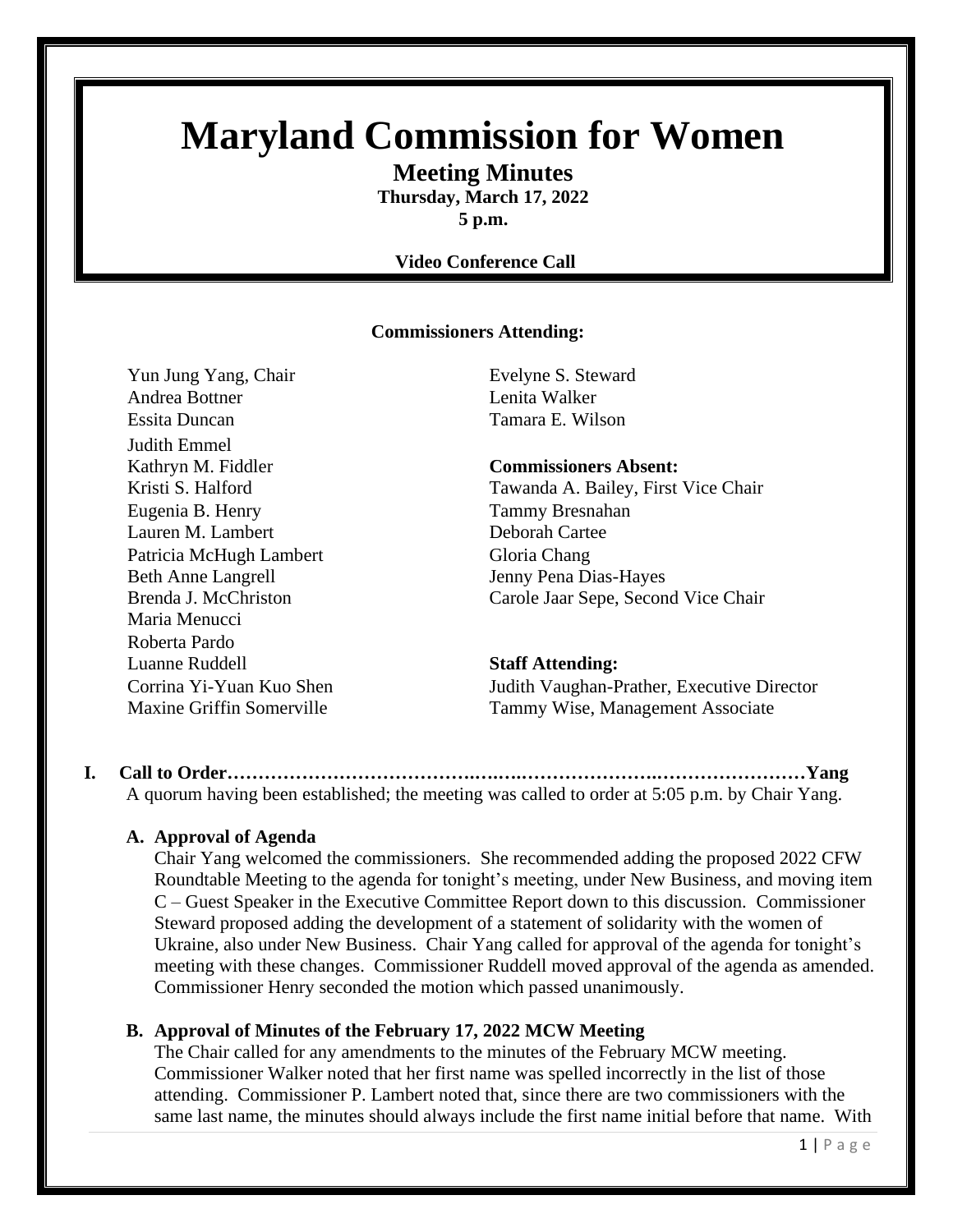# **Maryland Commission for Women**

**Meeting Minutes Thursday, March 17, 2022**

**5 p.m.**

#### **Video Conference Call**

#### **Commissioners Attending:**

Yun Jung Yang, Chair Evelyne S. Steward Andrea Bottner Lenita Walker Essita Duncan Tamara E. Wilson Judith Emmel Kathryn M. Fiddler **Commissioners Absent:** Eugenia B. Henry Tammy Bresnahan Lauren M. Lambert Deborah Cartee Patricia McHugh Lambert Gloria Chang Beth Anne Langrell Jenny Pena Dias-Hayes Maria Menucci Roberta Pardo Luanne Ruddell **Staff Attending:**

Kristi S. Halford Tawanda A. Bailey, First Vice Chair Brenda J. McChriston Carole Jaar Sepe, Second Vice Chair

Corrina Yi-Yuan Kuo Shen Judith Vaughan-Prather, Executive Director Maxine Griffin Somerville Tammy Wise, Management Associate

**I. Call to Order………………………………….….….………………….……………………Yang** A quorum having been established; the meeting was called to order at 5:05 p.m. by Chair Yang.

#### **A. Approval of Agenda**

Chair Yang welcomed the commissioners. She recommended adding the proposed 2022 CFW Roundtable Meeting to the agenda for tonight's meeting, under New Business, and moving item C – Guest Speaker in the Executive Committee Report down to this discussion. Commissioner Steward proposed adding the development of a statement of solidarity with the women of Ukraine, also under New Business. Chair Yang called for approval of the agenda for tonight's meeting with these changes. Commissioner Ruddell moved approval of the agenda as amended. Commissioner Henry seconded the motion which passed unanimously.

#### **B. Approval of Minutes of the February 17, 2022 MCW Meeting**

The Chair called for any amendments to the minutes of the February MCW meeting. Commissioner Walker noted that her first name was spelled incorrectly in the list of those attending. Commissioner P. Lambert noted that, since there are two commissioners with the same last name, the minutes should always include the first name initial before that name. With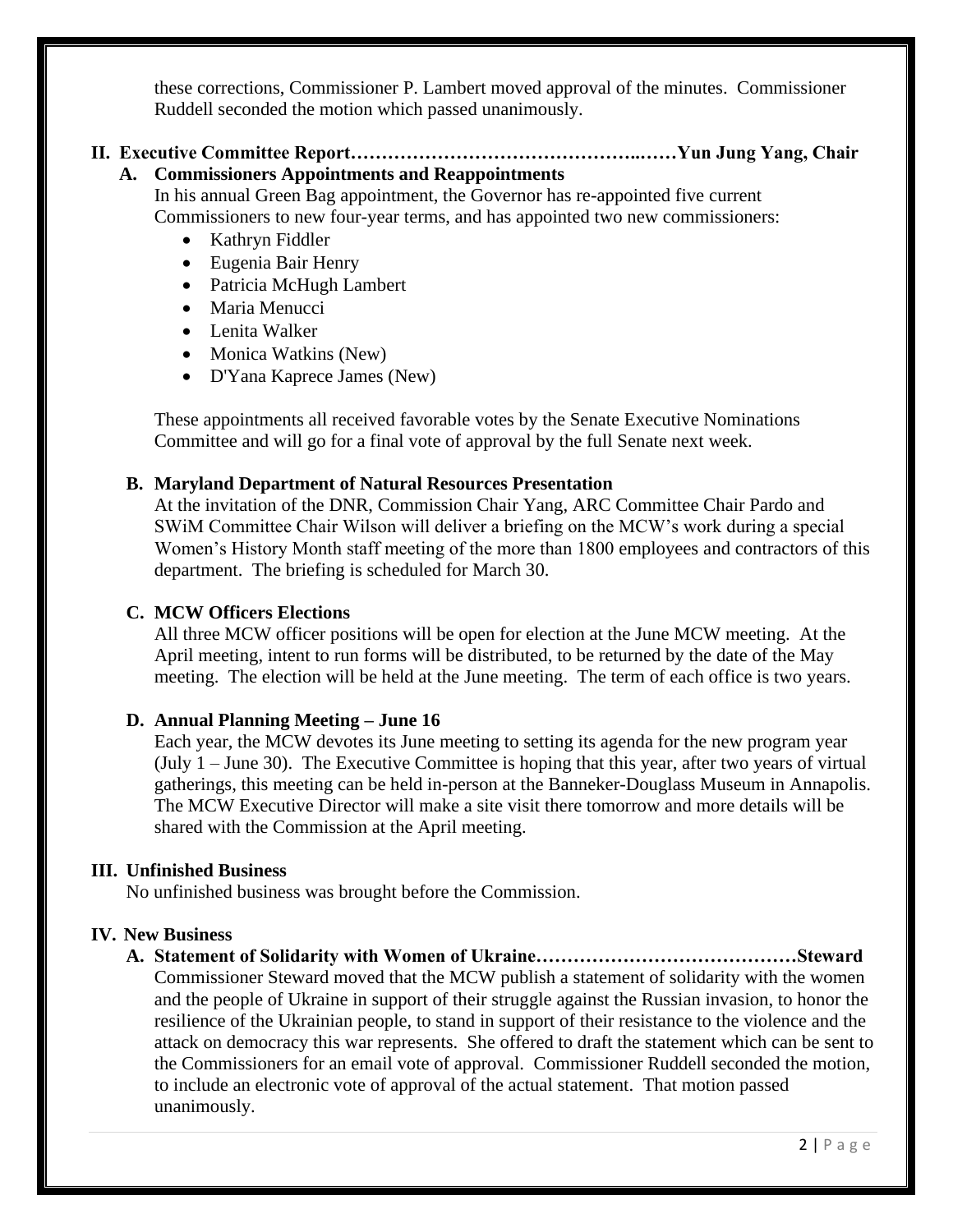these corrections, Commissioner P. Lambert moved approval of the minutes. Commissioner Ruddell seconded the motion which passed unanimously.

#### **II. Executive Committee Report………………………………………..……Yun Jung Yang, Chair A. Commissioners Appointments and Reappointments**

In his annual Green Bag appointment, the Governor has re-appointed five current Commissioners to new four-year terms, and has appointed two new commissioners:

- Kathryn Fiddler
- Eugenia Bair Henry
- Patricia McHugh Lambert
- Maria Menucci
- Lenita Walker
- Monica Watkins (New)
- D'Yana Kaprece James (New)

These appointments all received favorable votes by the Senate Executive Nominations Committee and will go for a final vote of approval by the full Senate next week.

#### **B. Maryland Department of Natural Resources Presentation**

At the invitation of the DNR, Commission Chair Yang, ARC Committee Chair Pardo and SWiM Committee Chair Wilson will deliver a briefing on the MCW's work during a special Women's History Month staff meeting of the more than 1800 employees and contractors of this department. The briefing is scheduled for March 30.

#### **C. MCW Officers Elections**

All three MCW officer positions will be open for election at the June MCW meeting. At the April meeting, intent to run forms will be distributed, to be returned by the date of the May meeting. The election will be held at the June meeting. The term of each office is two years.

#### **D. Annual Planning Meeting – June 16**

Each year, the MCW devotes its June meeting to setting its agenda for the new program year (July 1 – June 30). The Executive Committee is hoping that this year, after two years of virtual gatherings, this meeting can be held in-person at the Banneker-Douglass Museum in Annapolis. The MCW Executive Director will make a site visit there tomorrow and more details will be shared with the Commission at the April meeting.

#### **III. Unfinished Business**

No unfinished business was brought before the Commission.

#### **IV. New Business**

**A. Statement of Solidarity with Women of Ukraine……………………………………Steward** Commissioner Steward moved that the MCW publish a statement of solidarity with the women and the people of Ukraine in support of their struggle against the Russian invasion, to honor the resilience of the Ukrainian people, to stand in support of their resistance to the violence and the attack on democracy this war represents. She offered to draft the statement which can be sent to the Commissioners for an email vote of approval. Commissioner Ruddell seconded the motion, to include an electronic vote of approval of the actual statement. That motion passed unanimously.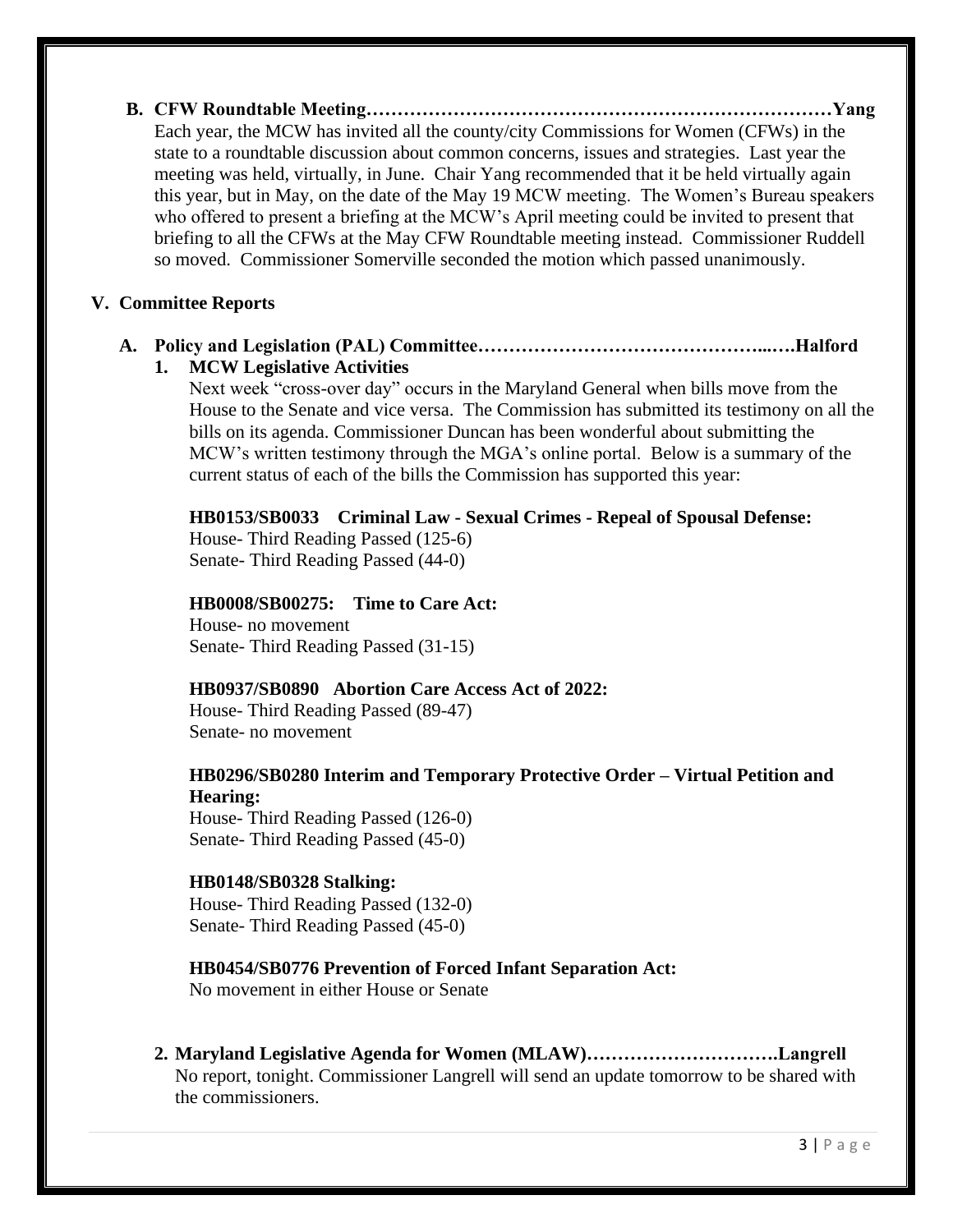**B. CFW Roundtable Meeting…………………………………………………………………Yang** Each year, the MCW has invited all the county/city Commissions for Women (CFWs) in the state to a roundtable discussion about common concerns, issues and strategies. Last year the meeting was held, virtually, in June. Chair Yang recommended that it be held virtually again this year, but in May, on the date of the May 19 MCW meeting. The Women's Bureau speakers who offered to present a briefing at the MCW's April meeting could be invited to present that briefing to all the CFWs at the May CFW Roundtable meeting instead. Commissioner Ruddell so moved. Commissioner Somerville seconded the motion which passed unanimously.

#### **V. Committee Reports**

### **A. Policy and Legislation (PAL) Committee………………………………………...….Halford**

#### **1. MCW Legislative Activities**

Next week "cross-over day" occurs in the Maryland General when bills move from the House to the Senate and vice versa. The Commission has submitted its testimony on all the bills on its agenda. Commissioner Duncan has been wonderful about submitting the MCW's written testimony through the MGA's online portal. Below is a summary of the current status of each of the bills the Commission has supported this year:

#### **HB0153/SB0033 Criminal Law - Sexual Crimes - Repeal of Spousal Defense:**

House- Third Reading Passed (125-6) Senate- Third Reading Passed (44-0)

#### **HB0008/SB00275: Time to Care Act:**

House- no movement Senate- Third Reading Passed (31-15)

#### **HB0937/SB0890 Abortion Care Access Act of 2022:**

House- Third Reading Passed (89-47) Senate- no movement

### **HB0296/SB0280 Interim and Temporary Protective Order – Virtual Petition and Hearing:**

House- Third Reading Passed (126-0) Senate- Third Reading Passed (45-0)

#### **HB0148/SB0328 Stalking:**

House- Third Reading Passed (132-0) Senate- Third Reading Passed (45-0)

### **HB0454/SB0776 Prevention of Forced Infant Separation Act:**

No movement in either House or Senate

**2. Maryland Legislative Agenda for Women (MLAW)………………………….Langrell** No report, tonight. Commissioner Langrell will send an update tomorrow to be shared with the commissioners.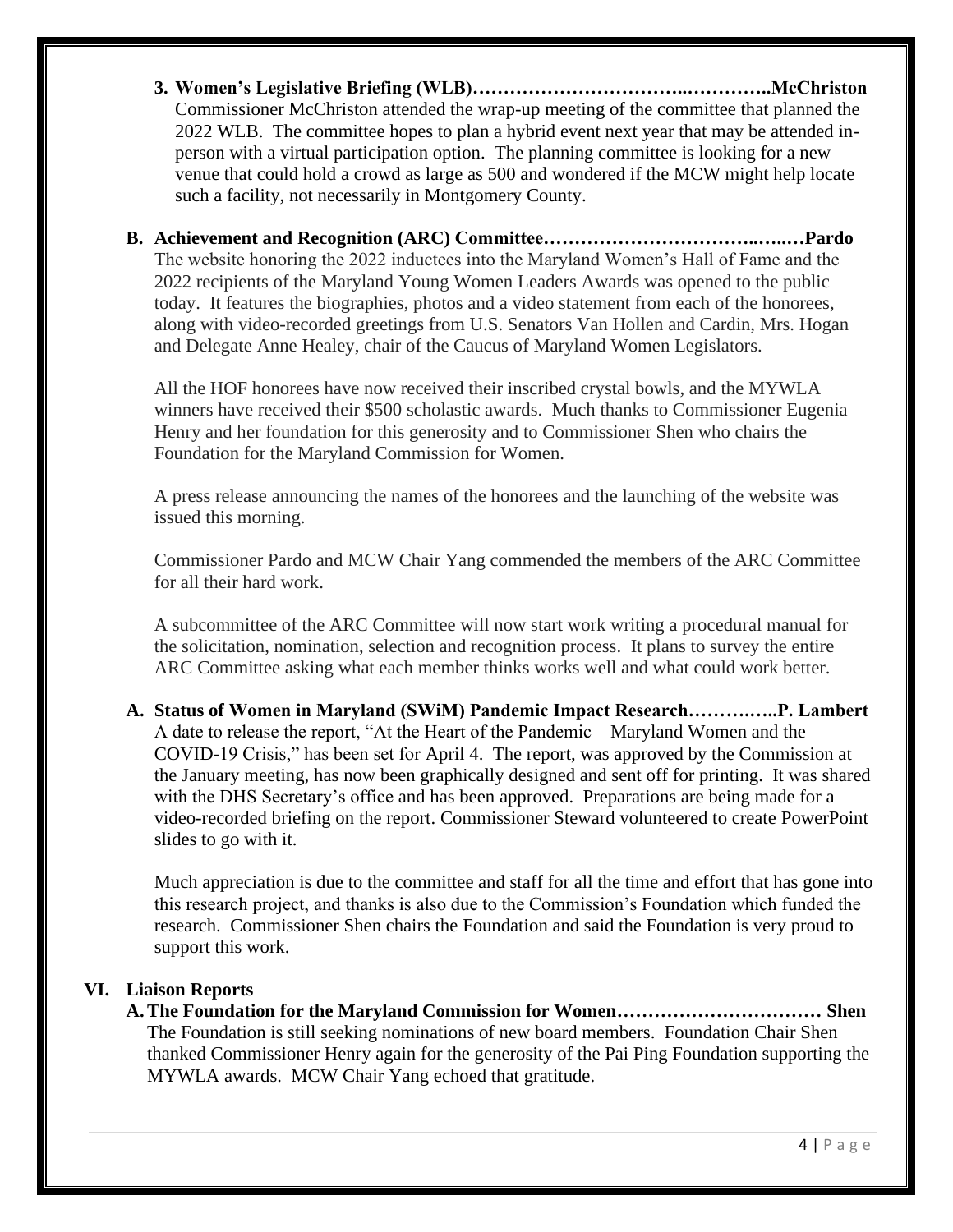- **3. Women's Legislative Briefing (WLB)……………………………..…………..McChriston** Commissioner McChriston attended the wrap-up meeting of the committee that planned the 2022 WLB. The committee hopes to plan a hybrid event next year that may be attended inperson with a virtual participation option. The planning committee is looking for a new venue that could hold a crowd as large as 500 and wondered if the MCW might help locate such a facility, not necessarily in Montgomery County.
- **B. Achievement and Recognition (ARC) Committee……………………………..…..…Pardo** The website honoring the 2022 inductees into the Maryland Women's Hall of Fame and the 2022 recipients of the Maryland Young Women Leaders Awards was opened to the public today. It features the biographies, photos and a video statement from each of the honorees, along with video-recorded greetings from U.S. Senators Van Hollen and Cardin, Mrs. Hogan and Delegate Anne Healey, chair of the Caucus of Maryland Women Legislators.

All the HOF honorees have now received their inscribed crystal bowls, and the MYWLA winners have received their \$500 scholastic awards. Much thanks to Commissioner Eugenia Henry and her foundation for this generosity and to Commissioner Shen who chairs the Foundation for the Maryland Commission for Women.

A press release announcing the names of the honorees and the launching of the website was issued this morning.

Commissioner Pardo and MCW Chair Yang commended the members of the ARC Committee for all their hard work.

A subcommittee of the ARC Committee will now start work writing a procedural manual for the solicitation, nomination, selection and recognition process. It plans to survey the entire ARC Committee asking what each member thinks works well and what could work better.

**A. Status of Women in Maryland (SWiM) Pandemic Impact Research……….…..P. Lambert** A date to release the report, "At the Heart of the Pandemic – Maryland Women and the COVID-19 Crisis," has been set for April 4. The report, was approved by the Commission at the January meeting, has now been graphically designed and sent off for printing. It was shared with the DHS Secretary's office and has been approved. Preparations are being made for a video-recorded briefing on the report. Commissioner Steward volunteered to create PowerPoint slides to go with it.

Much appreciation is due to the committee and staff for all the time and effort that has gone into this research project, and thanks is also due to the Commission's Foundation which funded the research. Commissioner Shen chairs the Foundation and said the Foundation is very proud to support this work.

### **VI. Liaison Reports**

**A.The Foundation for the Maryland Commission for Women…………………………… Shen** The Foundation is still seeking nominations of new board members. Foundation Chair Shen thanked Commissioner Henry again for the generosity of the Pai Ping Foundation supporting the MYWLA awards. MCW Chair Yang echoed that gratitude.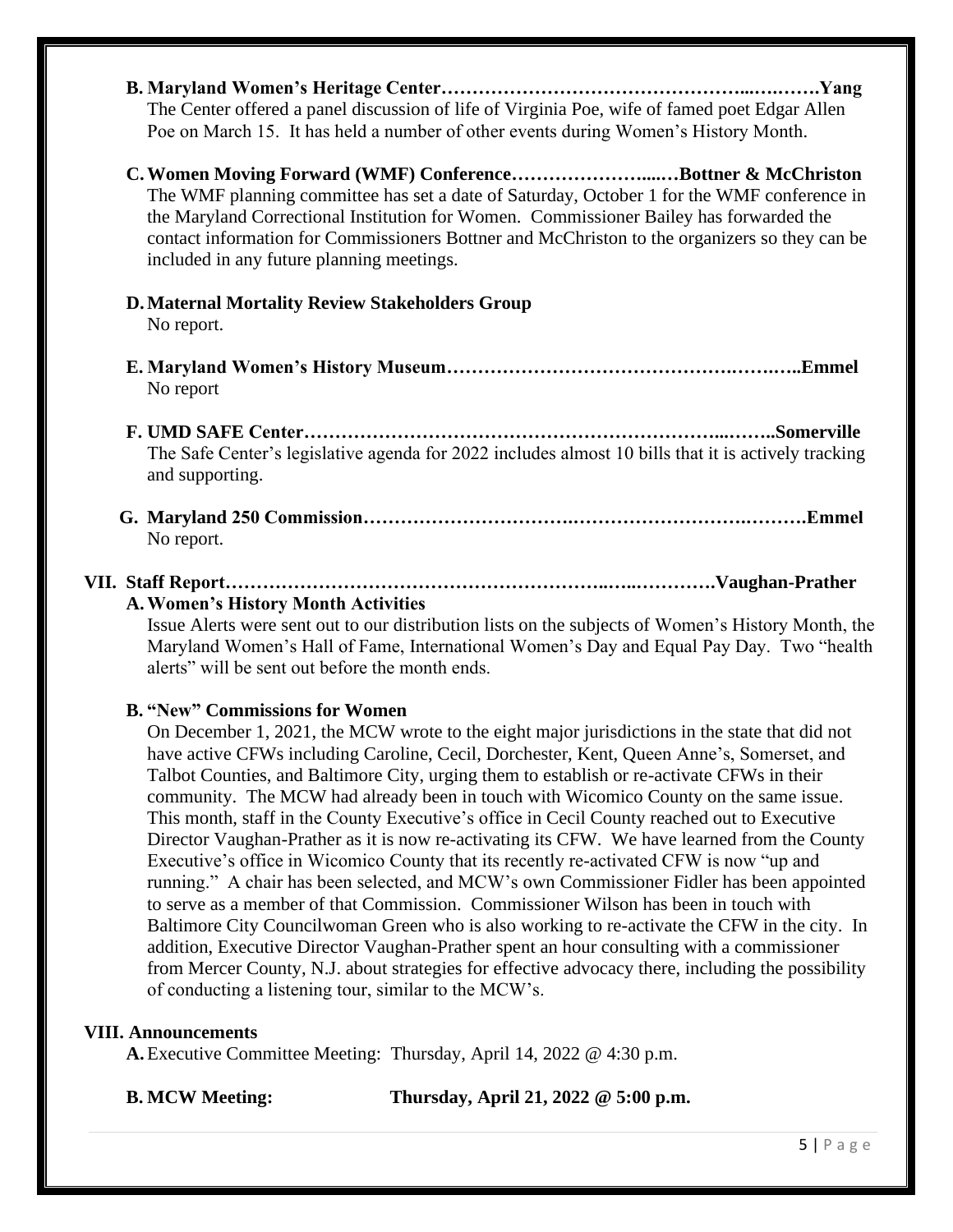- **B. Maryland Women's Heritage Center…………………………………………...….…….Yang** The Center offered a panel discussion of life of Virginia Poe, wife of famed poet Edgar Allen Poe on March 15. It has held a number of other events during Women's History Month.
- **C.Women Moving Forward (WMF) Conference…………………....…Bottner & McChriston** The WMF planning committee has set a date of Saturday, October 1 for the WMF conference in the Maryland Correctional Institution for Women. Commissioner Bailey has forwarded the contact information for Commissioners Bottner and McChriston to the organizers so they can be included in any future planning meetings.

## **D.Maternal Mortality Review Stakeholders Group**

No report.

- **E. Maryland Women's History Museum……………………………………….…….…..Emmel** No report
- **F. UMD SAFE Center…………………………………………………………...……..Somerville** The Safe Center's legislative agenda for 2022 includes almost 10 bills that it is actively tracking and supporting.
- **G. Maryland 250 Commission…………………………….……………………….……….Emmel** No report.

#### **VII. Staff Report……………………………………………………..…..………….Vaughan-Prather A.Women's History Month Activities**

Issue Alerts were sent out to our distribution lists on the subjects of Women's History Month, the Maryland Women's Hall of Fame, International Women's Day and Equal Pay Day. Two "health alerts" will be sent out before the month ends.

### **B. "New" Commissions for Women**

On December 1, 2021, the MCW wrote to the eight major jurisdictions in the state that did not have active CFWs including Caroline, Cecil, Dorchester, Kent, Queen Anne's, Somerset, and Talbot Counties, and Baltimore City, urging them to establish or re-activate CFWs in their community. The MCW had already been in touch with Wicomico County on the same issue. This month, staff in the County Executive's office in Cecil County reached out to Executive Director Vaughan-Prather as it is now re-activating its CFW. We have learned from the County Executive's office in Wicomico County that its recently re-activated CFW is now "up and running." A chair has been selected, and MCW's own Commissioner Fidler has been appointed to serve as a member of that Commission. Commissioner Wilson has been in touch with Baltimore City Councilwoman Green who is also working to re-activate the CFW in the city. In addition, Executive Director Vaughan-Prather spent an hour consulting with a commissioner from Mercer County, N.J. about strategies for effective advocacy there, including the possibility of conducting a listening tour, similar to the MCW's.

### **VIII. Announcements**

**A.**Executive Committee Meeting: Thursday, April 14, 2022 @ 4:30 p.m.

**B. MCW Meeting: Thursday, April 21, 2022 @ 5:00 p.m.**